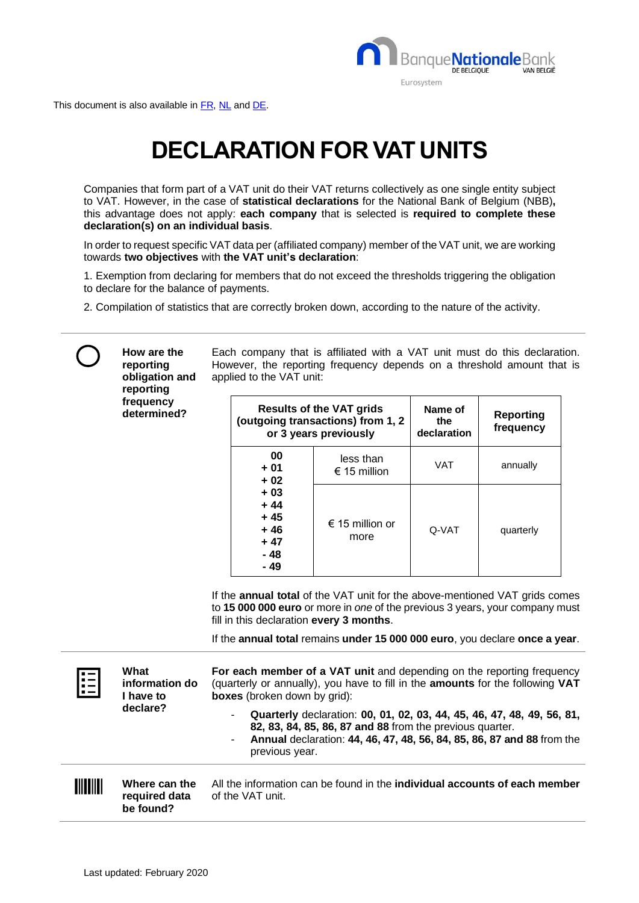

This document is also available i[n FR,](https://www.nbb.be/doc/dq/f_pdf_bb/unites_tva_guide_rapide_fr.pdf) [NL](https://www.nbb.be/doc/dq/n_pdf_bb/btw-eenheden_snelgids_nl.pdf) an[d DE.](https://www.nbb.be/doc/dq/d_pdf_bb/mwst-einheiten_kurzanleitung_de.pdf)

**How are the reporting** 

## **DECLARATION FOR VAT UNITS**

Companies that form part of a VAT unit do their VAT returns collectively as one single entity subject to VAT. However, in the case of **statistical declarations** for the National Bank of Belgium (NBB)**,** this advantage does not apply: **each company** that is selected is **required to complete these declaration(s) on an individual basis**.

In order to request specific VAT data per (affiliated company) member of the VAT unit, we are working towards **two objectives** with **the VAT unit's declaration**:

1. Exemption from declaring for members that do not exceed the thresholds triggering the obligation to declare for the balance of payments.

Each company that is affiliated with a VAT unit must do this declaration.

2. Compilation of statistics that are correctly broken down, according to the nature of the activity.

|           | reporting<br>obligation and<br>reporting<br>frequency<br>determined? | However, the reporting frequency depends on a threshold amount that is<br>applied to the VAT unit:                                                                                                                                                                                     |                                                                                               |                               |                               |  |
|-----------|----------------------------------------------------------------------|----------------------------------------------------------------------------------------------------------------------------------------------------------------------------------------------------------------------------------------------------------------------------------------|-----------------------------------------------------------------------------------------------|-------------------------------|-------------------------------|--|
|           |                                                                      | 00<br>$+01$<br>$+02$<br>$+03$<br>$+44$<br>$+45$<br>$+46$<br>$+47$<br>$-48$<br>$-49$                                                                                                                                                                                                    | <b>Results of the VAT grids</b><br>(outgoing transactions) from 1, 2<br>or 3 years previously | Name of<br>the<br>declaration | <b>Reporting</b><br>frequency |  |
|           |                                                                      |                                                                                                                                                                                                                                                                                        | less than<br>€ 15 million                                                                     | <b>VAT</b>                    | annually                      |  |
|           |                                                                      |                                                                                                                                                                                                                                                                                        | € 15 million or<br>more                                                                       | Q-VAT                         | quarterly                     |  |
|           |                                                                      | If the annual total of the VAT unit for the above-mentioned VAT grids comes<br>to 15 000 000 euro or more in one of the previous 3 years, your company must<br>fill in this declaration every 3 months.<br>If the annual total remains under 15 000 000 euro, you declare once a year. |                                                                                               |                               |                               |  |
|           | What<br>information do<br>I have to<br>declare?                      | For each member of a VAT unit and depending on the reporting frequency<br>(quarterly or annually), you have to fill in the amounts for the following VAT<br><b>boxes</b> (broken down by grid):                                                                                        |                                                                                               |                               |                               |  |
|           |                                                                      | Quarterly declaration: 00, 01, 02, 03, 44, 45, 46, 47, 48, 49, 56, 81,<br>82, 83, 84, 85, 86, 87 and 88 from the previous quarter.<br>Annual declaration: 44, 46, 47, 48, 56, 84, 85, 86, 87 and 88 from the<br>۰<br>previous year.                                                    |                                                                                               |                               |                               |  |
| IIIIIIIII | Where can the<br>required data                                       | All the information can be found in the individual accounts of each member<br>of the VAT unit.                                                                                                                                                                                         |                                                                                               |                               |                               |  |

**be found?**